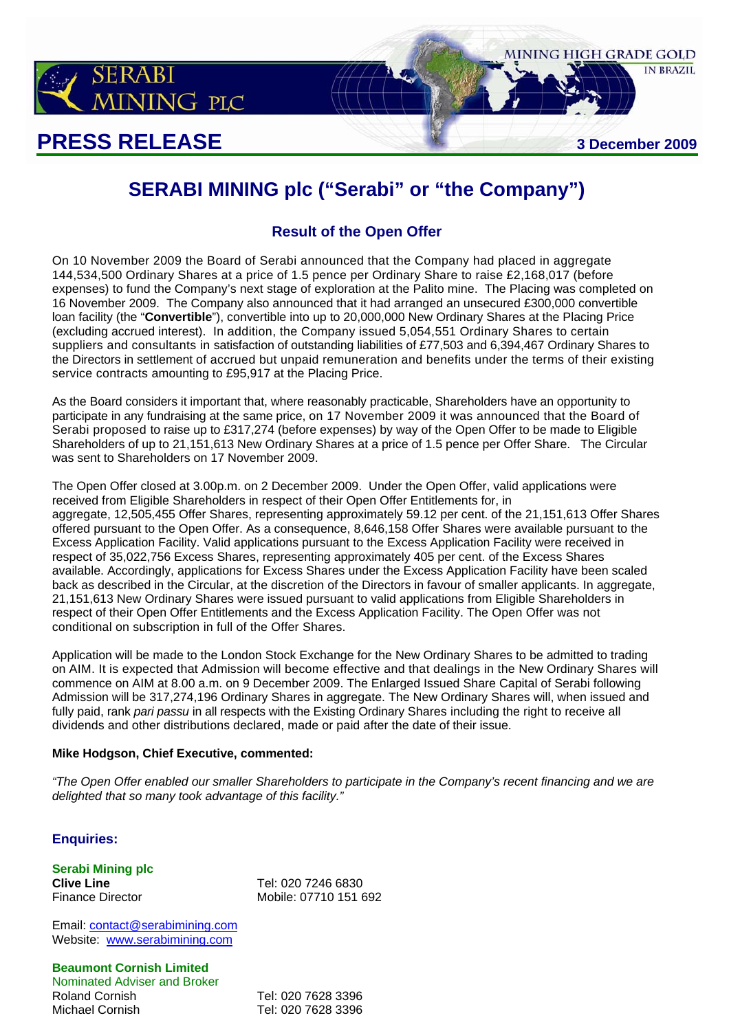

# **PRESS RELEASE** 3 December 2009

# **SERABI MINING plc ("Serabi" or "the Company")**

MINING HIGH GRADE GOLD

**IN BRAZIL** 

## **Result of the Open Offer**

On 10 November 2009 the Board of Serabi announced that the Company had placed in aggregate 144,534,500 Ordinary Shares at a price of 1.5 pence per Ordinary Share to raise £2,168,017 (before expenses) to fund the Company's next stage of exploration at the Palito mine. The Placing was completed on 16 November 2009. The Company also announced that it had arranged an unsecured £300,000 convertible loan facility (the "**Convertible**"), convertible into up to 20,000,000 New Ordinary Shares at the Placing Price (excluding accrued interest). In addition, the Company issued 5,054,551 Ordinary Shares to certain suppliers and consultants in satisfaction of outstanding liabilities of £77,503 and 6,394,467 Ordinary Shares to the Directors in settlement of accrued but unpaid remuneration and benefits under the terms of their existing service contracts amounting to £95,917 at the Placing Price.

As the Board considers it important that, where reasonably practicable, Shareholders have an opportunity to participate in any fundraising at the same price, on 17 November 2009 it was announced that the Board of Serabi proposed to raise up to £317,274 (before expenses) by way of the Open Offer to be made to Eligible Shareholders of up to 21,151,613 New Ordinary Shares at a price of 1.5 pence per Offer Share. The Circular was sent to Shareholders on 17 November 2009.

The Open Offer closed at 3.00p.m. on 2 December 2009. Under the Open Offer, valid applications were received from Eligible Shareholders in respect of their Open Offer Entitlements for, in aggregate, 12,505,455 Offer Shares, representing approximately 59.12 per cent. of the 21,151,613 Offer Shares offered pursuant to the Open Offer. As a consequence, 8,646,158 Offer Shares were available pursuant to the Excess Application Facility. Valid applications pursuant to the Excess Application Facility were received in respect of 35,022,756 Excess Shares, representing approximately 405 per cent. of the Excess Shares available. Accordingly, applications for Excess Shares under the Excess Application Facility have been scaled back as described in the Circular, at the discretion of the Directors in favour of smaller applicants. In aggregate, 21,151,613 New Ordinary Shares were issued pursuant to valid applications from Eligible Shareholders in respect of their Open Offer Entitlements and the Excess Application Facility. The Open Offer was not conditional on subscription in full of the Offer Shares.

Application will be made to the London Stock Exchange for the New Ordinary Shares to be admitted to trading on AIM. It is expected that Admission will become effective and that dealings in the New Ordinary Shares will commence on AIM at 8.00 a.m. on 9 December 2009. The Enlarged Issued Share Capital of Serabi following Admission will be 317,274,196 Ordinary Shares in aggregate. The New Ordinary Shares will, when issued and fully paid, rank *pari passu* in all respects with the Existing Ordinary Shares including the right to receive all dividends and other distributions declared, made or paid after the date of their issue.

## **Mike Hodgson, Chief Executive, commented:**

*"The Open Offer enabled our smaller Shareholders to participate in the Company's recent financing and we are delighted that so many took advantage of this facility."* 

## **Enquiries:**

**Serabi Mining plc** 

**Clive Line** Tel: 020 7246 6830 Finance Director Mobile: 07710 151 692

Email: contact@serabimining.com Website: www.serabimining.com

## **Beaumont Cornish Limited**

Nominated Adviser and Broker Roland Cornish Tel: 020 7628 3396 Michael Cornish Tel: 020 7628 3396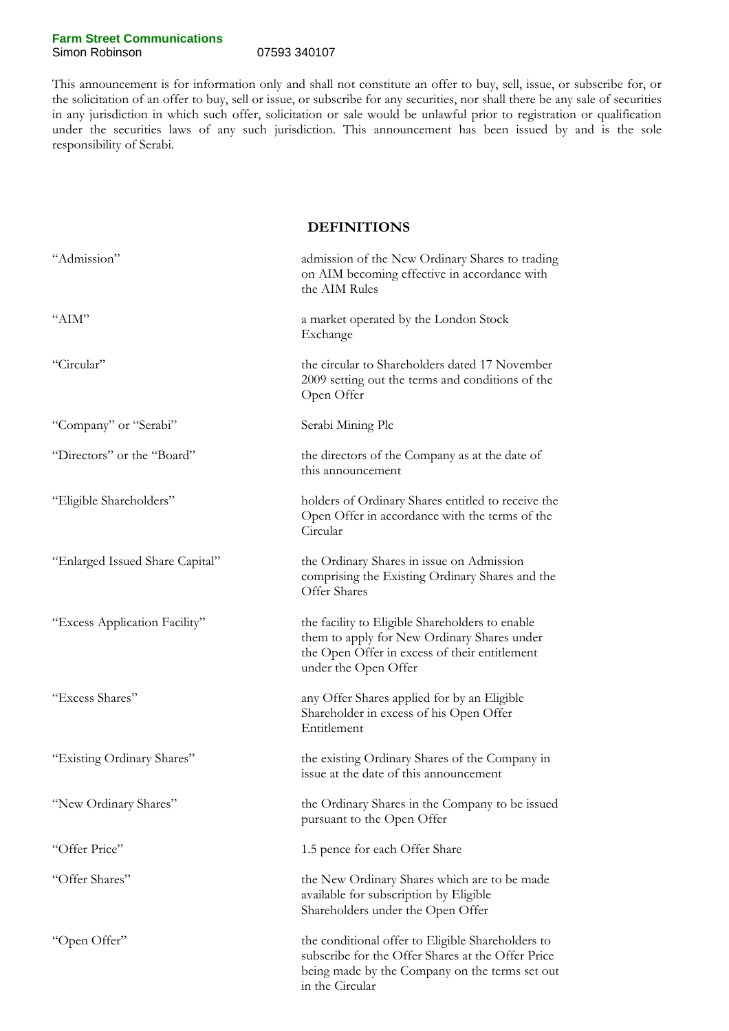### **Farm Street Communications**  Simon Robinson 07593 340107

This announcement is for information only and shall not constitute an offer to buy, sell, issue, or subscribe for, or the solicitation of an offer to buy, sell or issue, or subscribe for any securities, nor shall there be any sale of securities in any jurisdiction in which such offer, solicitation or sale would be unlawful prior to registration or qualification under the securities laws of any such jurisdiction. This announcement has been issued by and is the sole responsibility of Serabi.

### **DEFINITIONS**

| "Admission"                     | admission of the New Ordinary Shares to trading<br>on AIM becoming effective in accordance with<br>the AIM Rules                                                            |
|---------------------------------|-----------------------------------------------------------------------------------------------------------------------------------------------------------------------------|
| " $AlM"$                        | a market operated by the London Stock<br>Exchange                                                                                                                           |
| "Circular"                      | the circular to Shareholders dated 17 November<br>2009 setting out the terms and conditions of the<br>Open Offer                                                            |
| "Company" or "Serabi"           | Serabi Mining Plc                                                                                                                                                           |
| "Directors" or the "Board"      | the directors of the Company as at the date of<br>this announcement                                                                                                         |
| "Eligible Shareholders"         | holders of Ordinary Shares entitled to receive the<br>Open Offer in accordance with the terms of the<br>Circular                                                            |
| "Enlarged Issued Share Capital" | the Ordinary Shares in issue on Admission<br>comprising the Existing Ordinary Shares and the<br>Offer Shares                                                                |
| "Excess Application Facility"   | the facility to Eligible Shareholders to enable<br>them to apply for New Ordinary Shares under<br>the Open Offer in excess of their entitlement<br>under the Open Offer     |
| "Excess Shares"                 | any Offer Shares applied for by an Eligible<br>Shareholder in excess of his Open Offer<br>Entitlement                                                                       |
| "Existing Ordinary Shares"      | the existing Ordinary Shares of the Company in<br>issue at the date of this announcement                                                                                    |
| "New Ordinary Shares"           | the Ordinary Shares in the Company to be issued<br>pursuant to the Open Offer                                                                                               |
| "Offer Price"                   | 1.5 pence for each Offer Share                                                                                                                                              |
| "Offer Shares"                  | the New Ordinary Shares which are to be made<br>available for subscription by Eligible<br>Shareholders under the Open Offer                                                 |
| "Open Offer"                    | the conditional offer to Eligible Shareholders to<br>subscribe for the Offer Shares at the Offer Price<br>being made by the Company on the terms set out<br>in the Circular |